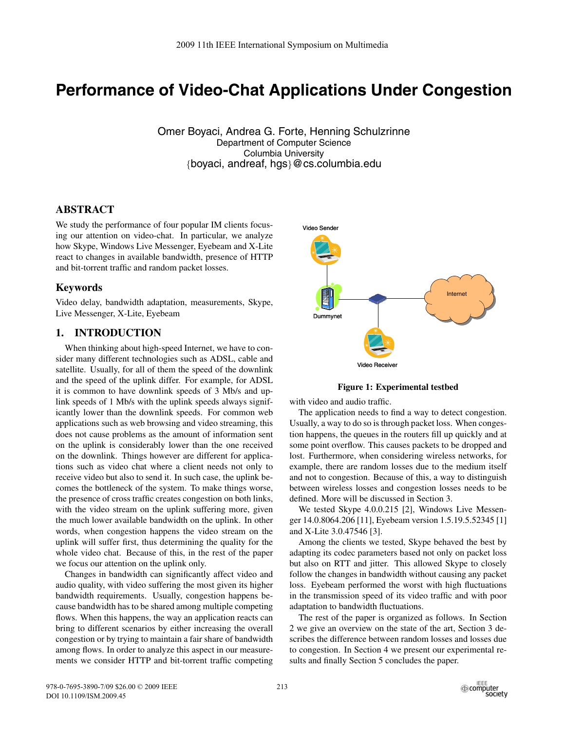# **Performance of Video-Chat Applications Under Congestion**

Omer Boyaci, Andrea G. Forte, Henning Schulzrinne Department of Computer Science Columbia University *{*boyaci, andreaf, hgs*}*@cs.columbia.edu

## **ABSTRACT**

We study the performance of four popular IM clients focusing our attention on video-chat. In particular, we analyze how Skype, Windows Live Messenger, Eyebeam and X-Lite react to changes in available bandwidth, presence of HTTP and bit-torrent traffic and random packet losses.

## **Keywords**

Video delay, bandwidth adaptation, measurements, Skype, Live Messenger, X-Lite, Eyebeam

## **1. INTRODUCTION**

When thinking about high-speed Internet, we have to consider many different technologies such as ADSL, cable and satellite. Usually, for all of them the speed of the downlink and the speed of the uplink differ. For example, for ADSL it is common to have downlink speeds of 3 Mb/s and uplink speeds of 1 Mb/s with the uplink speeds always significantly lower than the downlink speeds. For common web applications such as web browsing and video streaming, this does not cause problems as the amount of information sent on the uplink is considerably lower than the one received on the downlink. Things however are different for applications such as video chat where a client needs not only to receive video but also to send it. In such case, the uplink becomes the bottleneck of the system. To make things worse, the presence of cross traffic creates congestion on both links, with the video stream on the uplink suffering more, given the much lower available bandwidth on the uplink. In other words, when congestion happens the video stream on the uplink will suffer first, thus determining the quality for the whole video chat. Because of this, in the rest of the paper we focus our attention on the uplink only.

Changes in bandwidth can significantly affect video and audio quality, with video suffering the most given its higher bandwidth requirements. Usually, congestion happens because bandwidth has to be shared among multiple competing flows. When this happens, the way an application reacts can bring to different scenarios by either increasing the overall congestion or by trying to maintain a fair share of bandwidth among flows. In order to analyze this aspect in our measurements we consider HTTP and bit-torrent traffic competing



**Figure 1: Experimental testbed**

with video and audio traffic.

The application needs to find a way to detect congestion. Usually, a way to do so is through packet loss. When congestion happens, the queues in the routers fill up quickly and at some point overflow. This causes packets to be dropped and lost. Furthermore, when considering wireless networks, for example, there are random losses due to the medium itself and not to congestion. Because of this, a way to distinguish between wireless losses and congestion losses needs to be defined. More will be discussed in Section 3.

We tested Skype 4.0.0.215 [2], Windows Live Messenger 14.0.8064.206 [11], Eyebeam version 1.5.19.5.52345 [1] and X-Lite 3.0.47546 [3].

Among the clients we tested, Skype behaved the best by adapting its codec parameters based not only on packet loss but also on RTT and jitter. This allowed Skype to closely follow the changes in bandwidth without causing any packet loss. Eyebeam performed the worst with high fluctuations in the transmission speed of its video traffic and with poor adaptation to bandwidth fluctuations.

The rest of the paper is organized as follows. In Section 2 we give an overview on the state of the art, Section 3 describes the difference between random losses and losses due to congestion. In Section 4 we present our experimental results and finally Section 5 concludes the paper.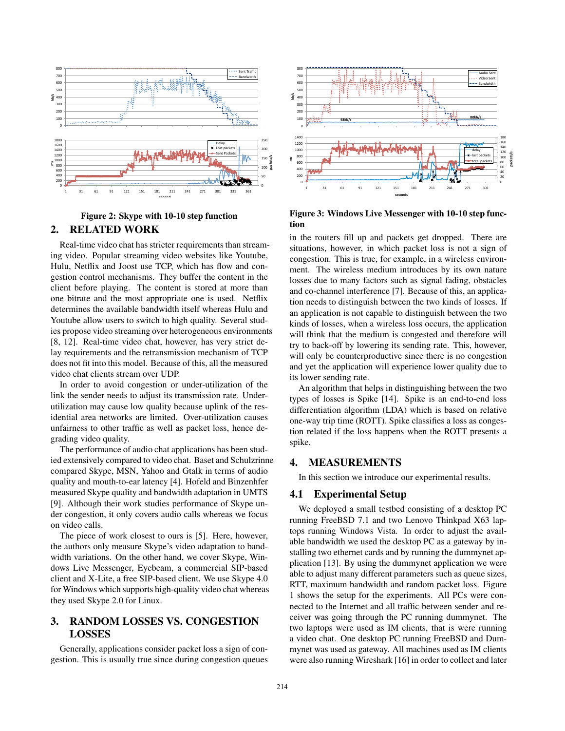

# **Figure 2: Skype with 10-10 step function 2. RELATED WORK**

Real-time video chat has stricter requirements than streaming video. Popular streaming video websites like Youtube, Hulu, Netflix and Joost use TCP, which has flow and congestion control mechanisms. They buffer the content in the client before playing. The content is stored at more than one bitrate and the most appropriate one is used. Netflix determines the available bandwidth itself whereas Hulu and Youtube allow users to switch to high quality. Several studies propose video streaming over heterogeneous environments [8, 12]. Real-time video chat, however, has very strict delay requirements and the retransmission mechanism of TCP does not fit into this model. Because of this, all the measured video chat clients stream over UDP.

In order to avoid congestion or under-utilization of the link the sender needs to adjust its transmission rate. Underutilization may cause low quality because uplink of the residential area networks are limited. Over-utilization causes unfairness to other traffic as well as packet loss, hence degrading video quality.

The performance of audio chat applications has been studied extensively compared to video chat. Baset and Schulzrinne compared Skype, MSN, Yahoo and Gtalk in terms of audio quality and mouth-to-ear latency [4]. Hofeld and Binzenhfer measured Skype quality and bandwidth adaptation in UMTS [9]. Although their work studies performance of Skype under congestion, it only covers audio calls whereas we focus on video calls.

The piece of work closest to ours is [5]. Here, however, the authors only measure Skype's video adaptation to bandwidth variations. On the other hand, we cover Skype, Windows Live Messenger, Eyebeam, a commercial SIP-based client and X-Lite, a free SIP-based client. We use Skype 4.0 for Windows which supports high-quality video chat whereas they used Skype 2.0 for Linux.

## **3. RANDOM LOSSES VS. CONGESTION LOSSES**

Generally, applications consider packet loss a sign of congestion. This is usually true since during congestion queues



**Figure 3: Windows Live Messenger with 10-10 step function**

in the routers fill up and packets get dropped. There are situations, however, in which packet loss is not a sign of congestion. This is true, for example, in a wireless environment. The wireless medium introduces by its own nature losses due to many factors such as signal fading, obstacles and co-channel interference [7]. Because of this, an application needs to distinguish between the two kinds of losses. If an application is not capable to distinguish between the two kinds of losses, when a wireless loss occurs, the application will think that the medium is congested and therefore will try to back-off by lowering its sending rate. This, however, will only be counterproductive since there is no congestion and yet the application will experience lower quality due to its lower sending rate.

An algorithm that helps in distinguishing between the two types of losses is Spike [14]. Spike is an end-to-end loss differentiation algorithm (LDA) which is based on relative one-way trip time (ROTT). Spike classifies a loss as congestion related if the loss happens when the ROTT presents a spike.

### **4. MEASUREMENTS**

In this section we introduce our experimental results.

## **4.1 Experimental Setup**

We deployed a small testbed consisting of a desktop PC running FreeBSD 7.1 and two Lenovo Thinkpad X63 laptops running Windows Vista. In order to adjust the available bandwidth we used the desktop PC as a gateway by installing two ethernet cards and by running the dummynet application [13]. By using the dummynet application we were able to adjust many different parameters such as queue sizes, RTT, maximum bandwidth and random packet loss. Figure 1 shows the setup for the experiments. All PCs were connected to the Internet and all traffic between sender and receiver was going through the PC running dummynet. The two laptops were used as IM clients, that is were running a video chat. One desktop PC running FreeBSD and Dummynet was used as gateway. All machines used as IM clients were also running Wireshark [16] in order to collect and later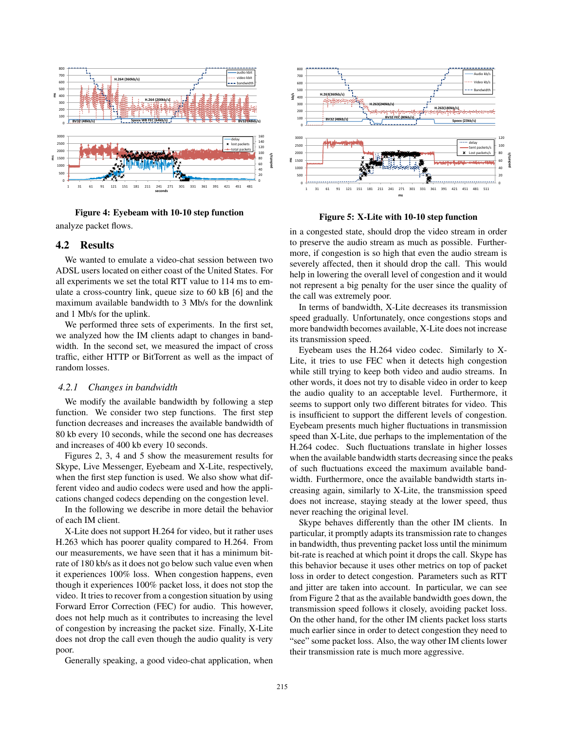

**Figure 4: Eyebeam with 10-10 step function** analyze packet flows.

### **4.2 Results**

We wanted to emulate a video-chat session between two ADSL users located on either coast of the United States. For all experiments we set the total RTT value to 114 ms to emulate a cross-country link, queue size to 60 kB [6] and the maximum available bandwidth to 3 Mb/s for the downlink and 1 Mb/s for the uplink.

We performed three sets of experiments. In the first set, we analyzed how the IM clients adapt to changes in bandwidth. In the second set, we measured the impact of cross traffic, either HTTP or BitTorrent as well as the impact of random losses.

#### *4.2.1 Changes in bandwidth*

We modify the available bandwidth by following a step function. We consider two step functions. The first step function decreases and increases the available bandwidth of 80 kb every 10 seconds, while the second one has decreases and increases of 400 kb every 10 seconds.

Figures 2, 3, 4 and 5 show the measurement results for Skype, Live Messenger, Eyebeam and X-Lite, respectively, when the first step function is used. We also show what different video and audio codecs were used and how the applications changed codecs depending on the congestion level.

In the following we describe in more detail the behavior of each IM client.

X-Lite does not support H.264 for video, but it rather uses H.263 which has poorer quality compared to H.264. From our measurements, we have seen that it has a minimum bitrate of 180 kb/s as it does not go below such value even when it experiences 100% loss. When congestion happens, even though it experiences 100% packet loss, it does not stop the video. It tries to recover from a congestion situation by using Forward Error Correction (FEC) for audio. This however, does not help much as it contributes to increasing the level of congestion by increasing the packet size. Finally, X-Lite does not drop the call even though the audio quality is very poor.

Generally speaking, a good video-chat application, when



**Figure 5: X-Lite with 10-10 step function**

in a congested state, should drop the video stream in order to preserve the audio stream as much as possible. Furthermore, if congestion is so high that even the audio stream is severely affected, then it should drop the call. This would help in lowering the overall level of congestion and it would not represent a big penalty for the user since the quality of the call was extremely poor.

In terms of bandwidth, X-Lite decreases its transmission speed gradually. Unfortunately, once congestions stops and more bandwidth becomes available, X-Lite does not increase its transmission speed.

Eyebeam uses the H.264 video codec. Similarly to X-Lite, it tries to use FEC when it detects high congestion while still trying to keep both video and audio streams. In other words, it does not try to disable video in order to keep the audio quality to an acceptable level. Furthermore, it seems to support only two different bitrates for video. This is insufficient to support the different levels of congestion. Eyebeam presents much higher fluctuations in transmission speed than X-Lite, due perhaps to the implementation of the H.264 codec. Such fluctuations translate in higher losses when the available bandwidth starts decreasing since the peaks of such fluctuations exceed the maximum available bandwidth. Furthermore, once the available bandwidth starts increasing again, similarly to X-Lite, the transmission speed does not increase, staying steady at the lower speed, thus never reaching the original level.

Skype behaves differently than the other IM clients. In particular, it promptly adapts its transmission rate to changes in bandwidth, thus preventing packet loss until the minimum bit-rate is reached at which point it drops the call. Skype has this behavior because it uses other metrics on top of packet loss in order to detect congestion. Parameters such as RTT and jitter are taken into account. In particular, we can see from Figure 2 that as the available bandwidth goes down, the transmission speed follows it closely, avoiding packet loss. On the other hand, for the other IM clients packet loss starts much earlier since in order to detect congestion they need to "see" some packet loss. Also, the way other IM clients lower their transmission rate is much more aggressive.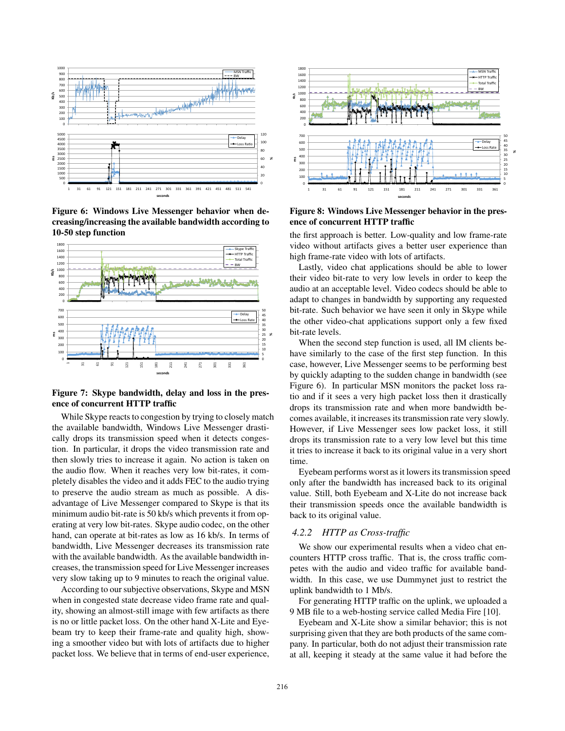

**Figure 6: Windows Live Messenger behavior when decreasing/increasing the available bandwidth according to 10-50 step function**





While Skype reacts to congestion by trying to closely match the available bandwidth, Windows Live Messenger drastically drops its transmission speed when it detects congestion. In particular, it drops the video transmission rate and then slowly tries to increase it again. No action is taken on the audio flow. When it reaches very low bit-rates, it completely disables the video and it adds FEC to the audio trying to preserve the audio stream as much as possible. A disadvantage of Live Messenger compared to Skype is that its minimum audio bit-rate is 50 kb/s which prevents it from operating at very low bit-rates. Skype audio codec, on the other hand, can operate at bit-rates as low as 16 kb/s. In terms of bandwidth, Live Messenger decreases its transmission rate with the available bandwidth. As the available bandwidth increases, the transmission speed for Live Messenger increases very slow taking up to 9 minutes to reach the original value.

According to our subjective observations, Skype and MSN when in congested state decrease video frame rate and quality, showing an almost-still image with few artifacts as there is no or little packet loss. On the other hand X-Lite and Eyebeam try to keep their frame-rate and quality high, showing a smoother video but with lots of artifacts due to higher packet loss. We believe that in terms of end-user experience,



**Figure 8: Windows Live Messenger behavior in the presence of concurrent HTTP traffic**

the first approach is better. Low-quality and low frame-rate video without artifacts gives a better user experience than high frame-rate video with lots of artifacts.

Lastly, video chat applications should be able to lower their video bit-rate to very low levels in order to keep the audio at an acceptable level. Video codecs should be able to adapt to changes in bandwidth by supporting any requested bit-rate. Such behavior we have seen it only in Skype while the other video-chat applications support only a few fixed bit-rate levels.

When the second step function is used, all IM clients behave similarly to the case of the first step function. In this case, however, Live Messenger seems to be performing best by quickly adapting to the sudden change in bandwidth (see Figure 6). In particular MSN monitors the packet loss ratio and if it sees a very high packet loss then it drastically drops its transmission rate and when more bandwidth becomes available, it increases its transmission rate very slowly. However, if Live Messenger sees low packet loss, it still drops its transmission rate to a very low level but this time it tries to increase it back to its original value in a very short time.

Eyebeam performs worst as it lowers its transmission speed only after the bandwidth has increased back to its original value. Still, both Eyebeam and X-Lite do not increase back their transmission speeds once the available bandwidth is back to its original value.

### *4.2.2 HTTP as Cross-traffic*

We show our experimental results when a video chat encounters HTTP cross traffic. That is, the cross traffic competes with the audio and video traffic for available bandwidth. In this case, we use Dummynet just to restrict the uplink bandwidth to 1 Mb/s.

For generating HTTP traffic on the uplink, we uploaded a 9 MB file to a web-hosting service called Media Fire [10].

Eyebeam and X-Lite show a similar behavior; this is not surprising given that they are both products of the same company. In particular, both do not adjust their transmission rate at all, keeping it steady at the same value it had before the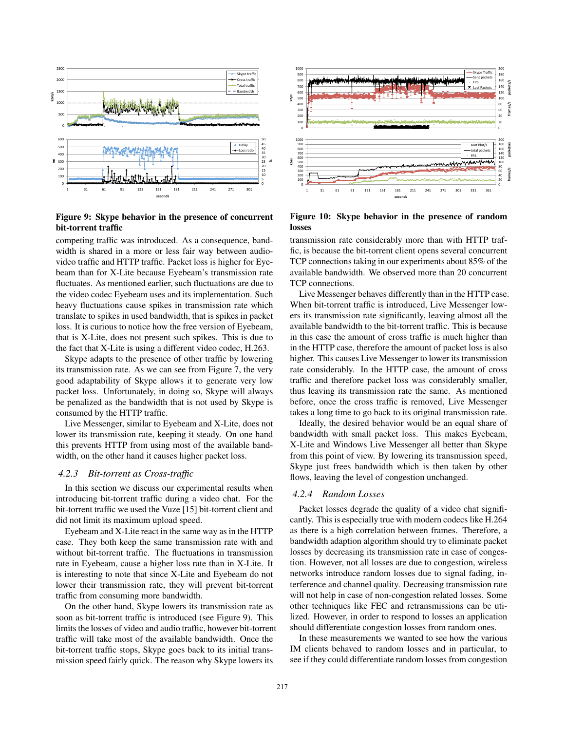

#### **Figure 9: Skype behavior in the presence of concurrent bit-torrent traffic**

competing traffic was introduced. As a consequence, bandwidth is shared in a more or less fair way between audiovideo traffic and HTTP traffic. Packet loss is higher for Eyebeam than for X-Lite because Eyebeam's transmission rate fluctuates. As mentioned earlier, such fluctuations are due to the video codec Eyebeam uses and its implementation. Such heavy fluctuations cause spikes in transmission rate which translate to spikes in used bandwidth, that is spikes in packet loss. It is curious to notice how the free version of Eyebeam, that is X-Lite, does not present such spikes. This is due to the fact that X-Lite is using a different video codec, H.263.

Skype adapts to the presence of other traffic by lowering its transmission rate. As we can see from Figure 7, the very good adaptability of Skype allows it to generate very low packet loss. Unfortunately, in doing so, Skype will always be penalized as the bandwidth that is not used by Skype is consumed by the HTTP traffic.

Live Messenger, similar to Eyebeam and X-Lite, does not lower its transmission rate, keeping it steady. On one hand this prevents HTTP from using most of the available bandwidth, on the other hand it causes higher packet loss.

### *4.2.3 Bit-torrent as Cross-traffic*

In this section we discuss our experimental results when introducing bit-torrent traffic during a video chat. For the bit-torrent traffic we used the Vuze [15] bit-torrent client and did not limit its maximum upload speed.

Eyebeam and X-Lite react in the same way as in the HTTP case. They both keep the same transmission rate with and without bit-torrent traffic. The fluctuations in transmission rate in Eyebeam, cause a higher loss rate than in X-Lite. It is interesting to note that since X-Lite and Eyebeam do not lower their transmission rate, they will prevent bit-torrent traffic from consuming more bandwidth.

On the other hand, Skype lowers its transmission rate as soon as bit-torrent traffic is introduced (see Figure 9). This limits the losses of video and audio traffic, however bit-torrent traffic will take most of the available bandwidth. Once the bit-torrent traffic stops, Skype goes back to its initial transmission speed fairly quick. The reason why Skype lowers its



**Figure 10: Skype behavior in the presence of random losses**

transmission rate considerably more than with HTTP traffic, is because the bit-torrent client opens several concurrent TCP connections taking in our experiments about 85% of the available bandwidth. We observed more than 20 concurrent TCP connections.

Live Messenger behaves differently than in the HTTP case. When bit-torrent traffic is introduced, Live Messenger lowers its transmission rate significantly, leaving almost all the available bandwidth to the bit-torrent traffic. This is because in this case the amount of cross traffic is much higher than in the HTTP case, therefore the amount of packet loss is also higher. This causes Live Messenger to lower its transmission rate considerably. In the HTTP case, the amount of cross traffic and therefore packet loss was considerably smaller, thus leaving its transmission rate the same. As mentioned before, once the cross traffic is removed, Live Messenger takes a long time to go back to its original transmission rate.

Ideally, the desired behavior would be an equal share of bandwidth with small packet loss. This makes Eyebeam, X-Lite and Windows Live Messenger all better than Skype from this point of view. By lowering its transmission speed, Skype just frees bandwidth which is then taken by other flows, leaving the level of congestion unchanged.

#### *4.2.4 Random Losses*

Packet losses degrade the quality of a video chat significantly. This is especially true with modern codecs like H.264 as there is a high correlation between frames. Therefore, a bandwidth adaption algorithm should try to eliminate packet losses by decreasing its transmission rate in case of congestion. However, not all losses are due to congestion, wireless networks introduce random losses due to signal fading, interference and channel quality. Decreasing transmission rate will not help in case of non-congestion related losses. Some other techniques like FEC and retransmissions can be utilized. However, in order to respond to losses an application should differentiate congestion losses from random ones.

In these measurements we wanted to see how the various IM clients behaved to random losses and in particular, to see if they could differentiate random losses from congestion